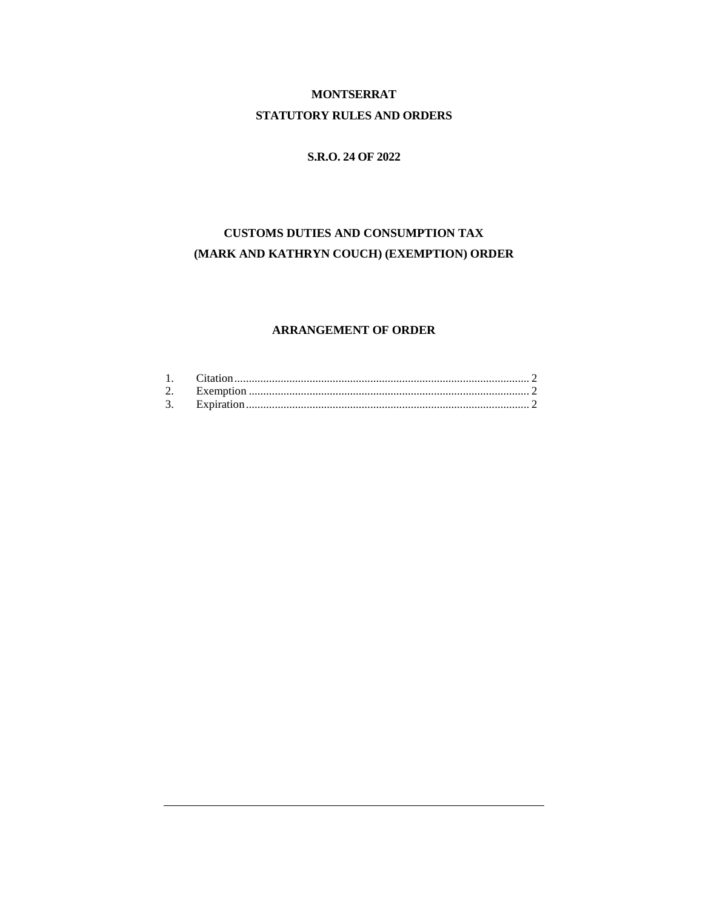# **MONTSERRAT STATUTORY RULES AND ORDERS**

# **S.R.O. 24 OF 2022**

# **CUSTOMS DUTIES AND CONSUMPTION TAX (MARK AND KATHRYN COUCH) (EXEMPTION) ORDER**

# **ARRANGEMENT OF ORDER**